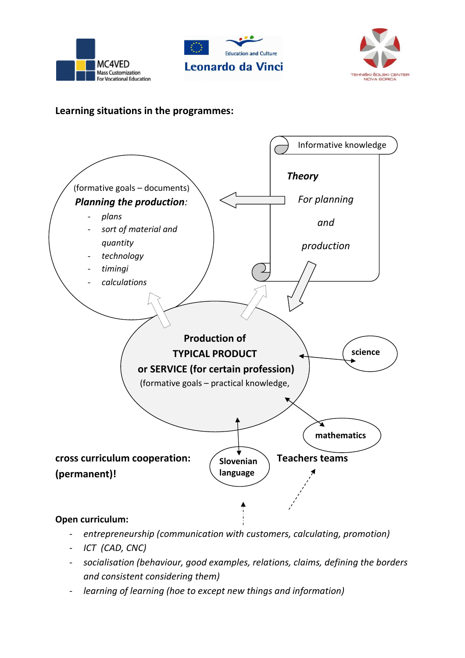





## **Learning situations in the programmes:**



- *entrepreneurship (communication with customers, calculating, promotion)*
- *ICT (CAD, CNC)*
- *socialisation (behaviour, good examples, relations, claims, defining the borders and consistent considering them)*
- *learning of learning (hoe to except new things and information)*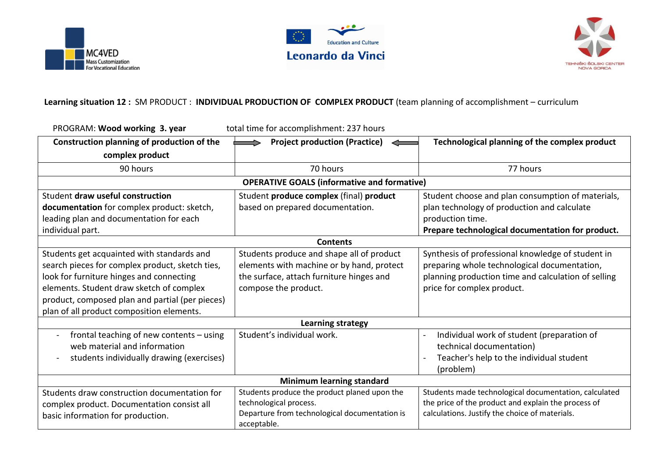





## **Learning situation 12 :** SM PRODUCT : **INDIVIDUAL PRODUCTION OF COMPLEX PRODUCT** (team planning of accomplishment – curriculum

| PROGRAM: Wood working 3. year<br>total time for accomplishment: 237 hours                                                                                                                                                                                                             |                                                                                                                                                            |                                                                                                                                                                                        |  |
|---------------------------------------------------------------------------------------------------------------------------------------------------------------------------------------------------------------------------------------------------------------------------------------|------------------------------------------------------------------------------------------------------------------------------------------------------------|----------------------------------------------------------------------------------------------------------------------------------------------------------------------------------------|--|
| Construction planning of production of the                                                                                                                                                                                                                                            | <b>Project production (Practice)</b>                                                                                                                       | Technological planning of the complex product                                                                                                                                          |  |
| complex product                                                                                                                                                                                                                                                                       |                                                                                                                                                            |                                                                                                                                                                                        |  |
| 90 hours                                                                                                                                                                                                                                                                              | 70 hours                                                                                                                                                   | 77 hours                                                                                                                                                                               |  |
| <b>OPERATIVE GOALS (informative and formative)</b>                                                                                                                                                                                                                                    |                                                                                                                                                            |                                                                                                                                                                                        |  |
| Student draw useful construction                                                                                                                                                                                                                                                      | Student produce complex (final) product                                                                                                                    | Student choose and plan consumption of materials,                                                                                                                                      |  |
| documentation for complex product: sketch,                                                                                                                                                                                                                                            | based on prepared documentation.                                                                                                                           | plan technology of production and calculate                                                                                                                                            |  |
| leading plan and documentation for each                                                                                                                                                                                                                                               |                                                                                                                                                            | production time.                                                                                                                                                                       |  |
| individual part.                                                                                                                                                                                                                                                                      |                                                                                                                                                            | Prepare technological documentation for product.                                                                                                                                       |  |
| <b>Contents</b>                                                                                                                                                                                                                                                                       |                                                                                                                                                            |                                                                                                                                                                                        |  |
| Students get acquainted with standards and<br>search pieces for complex product, sketch ties,<br>look for furniture hinges and connecting<br>elements. Student draw sketch of complex<br>product, composed plan and partial (per pieces)<br>plan of all product composition elements. | Students produce and shape all of product<br>elements with machine or by hand, protect<br>the surface, attach furniture hinges and<br>compose the product. | Synthesis of professional knowledge of student in<br>preparing whole technological documentation,<br>planning production time and calculation of selling<br>price for complex product. |  |
| <b>Learning strategy</b>                                                                                                                                                                                                                                                              |                                                                                                                                                            |                                                                                                                                                                                        |  |
| frontal teaching of new contents - using<br>$\blacksquare$<br>web material and information<br>students individually drawing (exercises)<br>$\blacksquare$                                                                                                                             | Student's individual work.                                                                                                                                 | Individual work of student (preparation of<br>$\blacksquare$<br>technical documentation)<br>Teacher's help to the individual student<br>(problem)                                      |  |
| <b>Minimum learning standard</b>                                                                                                                                                                                                                                                      |                                                                                                                                                            |                                                                                                                                                                                        |  |
| Students draw construction documentation for<br>complex product. Documentation consist all<br>basic information for production.                                                                                                                                                       | Students produce the product planed upon the<br>technological process.<br>Departure from technological documentation is<br>acceptable.                     | Students made technological documentation, calculated<br>the price of the product and explain the process of<br>calculations. Justify the choice of materials.                         |  |